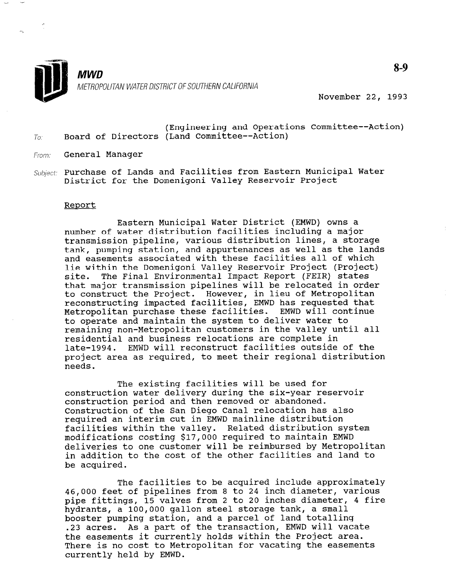

November 22, 1993

- (Engineering and Operations Committee--Action)  $T_{0}$ . Board of Directors (Land Committee--Action)
- From: **General Manager**

.\_ -

Subject: Purchase of Lands and Facilities from Eastern Municipal Water District for the Domenigoni Valley Reservoir Project

## Report

Eastern Municipal Water District (EMWD) owns a number of water distribution facilities including a major transmission pipeline, various distribution lines, a storage transmission pipeline, various uiscribution lines, a scorage tank, pumping station, and appurtenances as well as the lands and easements associated with these facilities all of which lie within the Domenigoni Valley Reservoir Project (Project)<br>site. The Final Environmental Impact Report (FEIR) states The Final Environmental Impact Report (FEIR) states that major transmission pipelines will be relocated in order to construct the Project. However, in lieu of Metropolitan reconstructing impacted facilities, EMWD has requested that Metropolitan purchase these facilities. EMWD will continue to operate and maintain the system to deliver water to remaining non-Metropolitan customers in the valley until all residential and business relocations are complete in late-1994. EMWD will reconstruct facilities outside of the project area as required, to meet their regional distribution<br>needs.

The existing facilities will be used for  $\mathbb{R}^n$  , with  $\mathbb{R}^n$  , will be used for  $\mathbb{R}^n$ The existing facilities will be used for construction water delivery during the six-year reservoir construction period and then removed or abandoned. Construction of the San Diego Canal relocation has also required an interim cut in EMWD mainline distribution facilities within the valley. Related distribution system modifications costing \$17,000 required to maintain EMWD deliveries to one customer will be reimbursed by Metropolitan in addition to the cost of the other facilities and land to be acquired.

The facilities to be acquired include approximately 46,000 feet of pipelines from 8 to 24 inch diameter, various pipe fittings, 15 valves from 2 to 20 inches diameter, 4 fire hydrants, a 100,000 gallon steel storage tank, a small booster pumping station, and a parcel of land totalling .23 acres. As a part of the transaction, EMWD will vacate the easements it currently holds within the Project area. There is no cost to Metropolitan for vacating the easements currently held by EMWD.